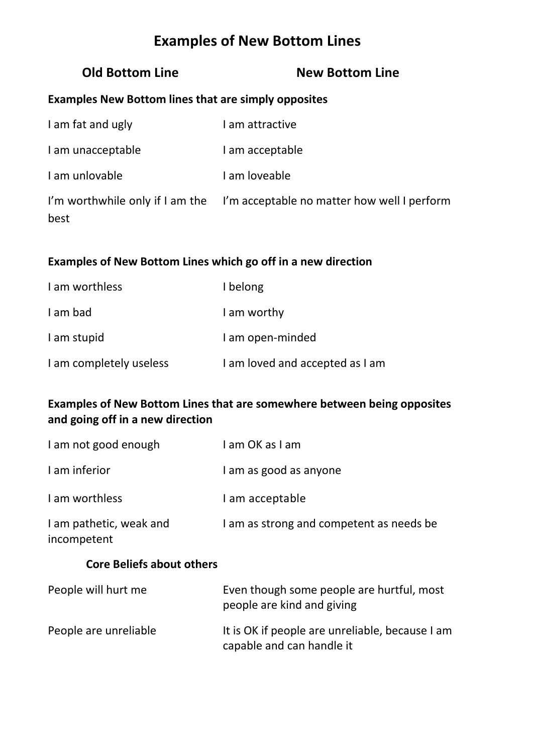# **Examples of New Bottom Lines**

#### **Old Bottom Line New Bottom Line**

#### **Examples New Bottom lines that are simply opposites**

| I am fat and ugly | I am attractive                                                             |
|-------------------|-----------------------------------------------------------------------------|
| I am unacceptable | I am acceptable                                                             |
| I am unlovable    | I am loveable                                                               |
| best              | I'm worthwhile only if I am the I'm acceptable no matter how well I perform |

#### **Examples of New Bottom Lines which go off in a new direction**

| I am worthless          | I belong                        |
|-------------------------|---------------------------------|
| I am bad                | I am worthy                     |
| I am stupid             | I am open-minded                |
| I am completely useless | I am loved and accepted as I am |

### **Examples of New Bottom Lines that are somewhere between being opposites and going off in a new direction**

| I am not good enough                   | Lam OK as Lam                            |
|----------------------------------------|------------------------------------------|
| I am inferior                          | I am as good as anyone                   |
| I am worthless                         | I am acceptable                          |
| I am pathetic, weak and<br>incompetent | I am as strong and competent as needs be |

#### **Core Beliefs about others**

| People will hurt me   | Even though some people are hurtful, most<br>people are kind and giving      |
|-----------------------|------------------------------------------------------------------------------|
| People are unreliable | It is OK if people are unreliable, because I am<br>capable and can handle it |